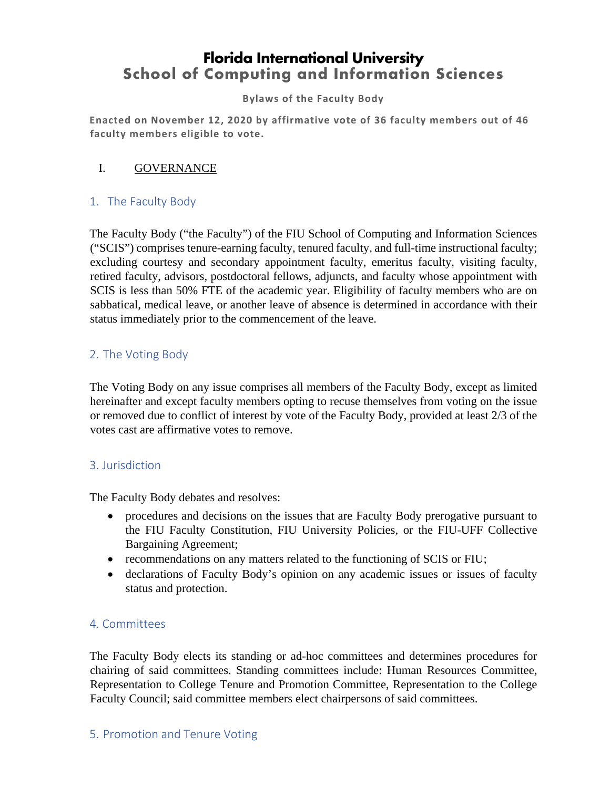# **Florida International University School of Computing and Information Sciences**

#### **Bylaws of the Faculty Body**

**Enacted on November 12, 2020 by affirmative vote of 36 faculty members out of 46 faculty members eligible to vote.**

### I. GOVERNANCE

# 1. The Faculty Body

The Faculty Body ("the Faculty") of the FIU School of Computing and Information Sciences ("SCIS") comprises tenure-earning faculty, tenured faculty, and full-time instructional faculty; excluding courtesy and secondary appointment faculty, emeritus faculty, visiting faculty, retired faculty, advisors, postdoctoral fellows, adjuncts, and faculty whose appointment with SCIS is less than 50% FTE of the academic year. Eligibility of faculty members who are on sabbatical, medical leave, or another leave of absence is determined in accordance with their status immediately prior to the commencement of the leave.

# 2. The Voting Body

The Voting Body on any issue comprises all members of the Faculty Body, except as limited hereinafter and except faculty members opting to recuse themselves from voting on the issue or removed due to conflict of interest by vote of the Faculty Body, provided at least 2/3 of the votes cast are affirmative votes to remove.

#### 3. Jurisdiction

The Faculty Body debates and resolves:

- procedures and decisions on the issues that are Faculty Body prerogative pursuant to the FIU Faculty Constitution, FIU University Policies, or the FIU-UFF Collective Bargaining Agreement;
- recommendations on any matters related to the functioning of SCIS or FIU;
- declarations of Faculty Body's opinion on any academic issues or issues of faculty status and protection.

#### 4. Committees

The Faculty Body elects its standing or ad-hoc committees and determines procedures for chairing of said committees. Standing committees include: Human Resources Committee, Representation to College Tenure and Promotion Committee, Representation to the College Faculty Council; said committee members elect chairpersons of said committees.

#### 5. Promotion and Tenure Voting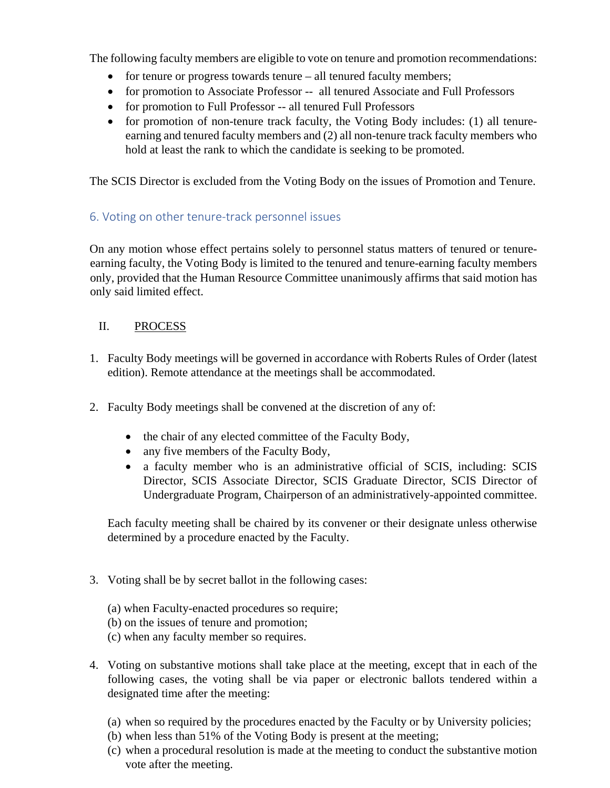The following faculty members are eligible to vote on tenure and promotion recommendations:

- for tenure or progress towards tenure all tenured faculty members;
- for promotion to Associate Professor -- all tenured Associate and Full Professors
- for promotion to Full Professor -- all tenured Full Professors
- for promotion of non-tenure track faculty, the Voting Body includes: (1) all tenureearning and tenured faculty members and (2) all non-tenure track faculty members who hold at least the rank to which the candidate is seeking to be promoted.

The SCIS Director is excluded from the Voting Body on the issues of Promotion and Tenure.

# 6. Voting on other tenure-track personnel issues

On any motion whose effect pertains solely to personnel status matters of tenured or tenureearning faculty, the Voting Body is limited to the tenured and tenure-earning faculty members only, provided that the Human Resource Committee unanimously affirms that said motion has only said limited effect.

# II. PROCESS

- 1. Faculty Body meetings will be governed in accordance with Roberts Rules of Order (latest edition). Remote attendance at the meetings shall be accommodated.
- 2. Faculty Body meetings shall be convened at the discretion of any of:
	- the chair of any elected committee of the Faculty Body,
	- any five members of the Faculty Body,
	- a faculty member who is an administrative official of SCIS, including: SCIS Director, SCIS Associate Director, SCIS Graduate Director, SCIS Director of Undergraduate Program, Chairperson of an administratively-appointed committee.

Each faculty meeting shall be chaired by its convener or their designate unless otherwise determined by a procedure enacted by the Faculty.

- 3. Voting shall be by secret ballot in the following cases:
	- (a) when Faculty-enacted procedures so require;
	- (b) on the issues of tenure and promotion;
	- (c) when any faculty member so requires.
- 4. Voting on substantive motions shall take place at the meeting, except that in each of the following cases, the voting shall be via paper or electronic ballots tendered within a designated time after the meeting:
	- (a) when so required by the procedures enacted by the Faculty or by University policies;
	- (b) when less than 51% of the Voting Body is present at the meeting;
	- (c) when a procedural resolution is made at the meeting to conduct the substantive motion vote after the meeting.